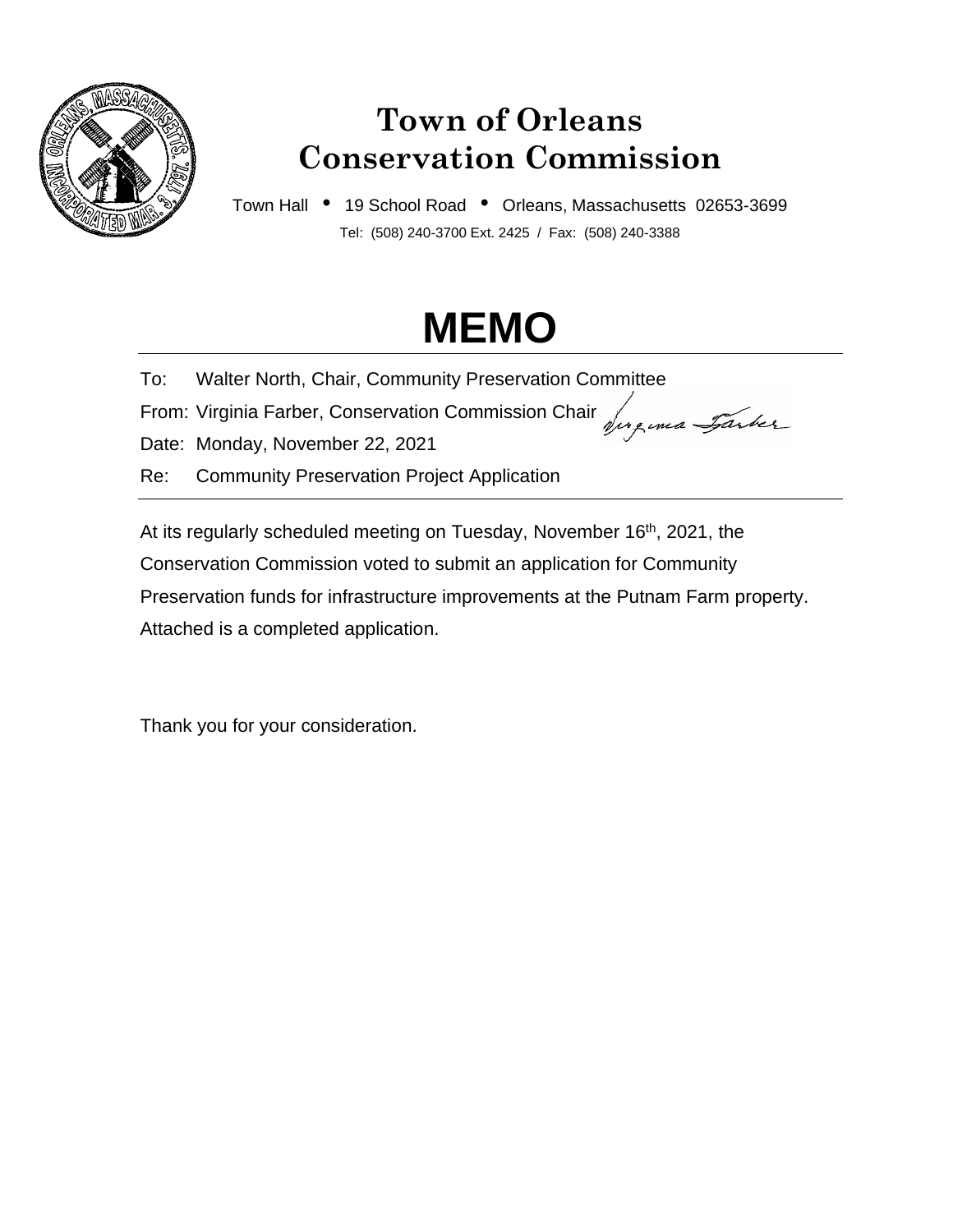

## **Town of Orleans Conservation Commission**

Town Hall • 19 School Road • Orleans, Massachusetts 02653-3699 Tel: (508) 240-3700 Ext. 2425 / Fax: (508) 240-3388

# **MEMO**

To: Walter North, Chair, Community Preservation Committee

From: Virginia Farber, Conservation Commission Chair Juguna Jarker

Date: Monday, November 22, 2021

Re: Community Preservation Project Application

At its regularly scheduled meeting on Tuesday, November 16<sup>th</sup>, 2021, the Conservation Commission voted to submit an application for Community Preservation funds for infrastructure improvements at the Putnam Farm property. Attached is a completed application.

Thank you for your consideration.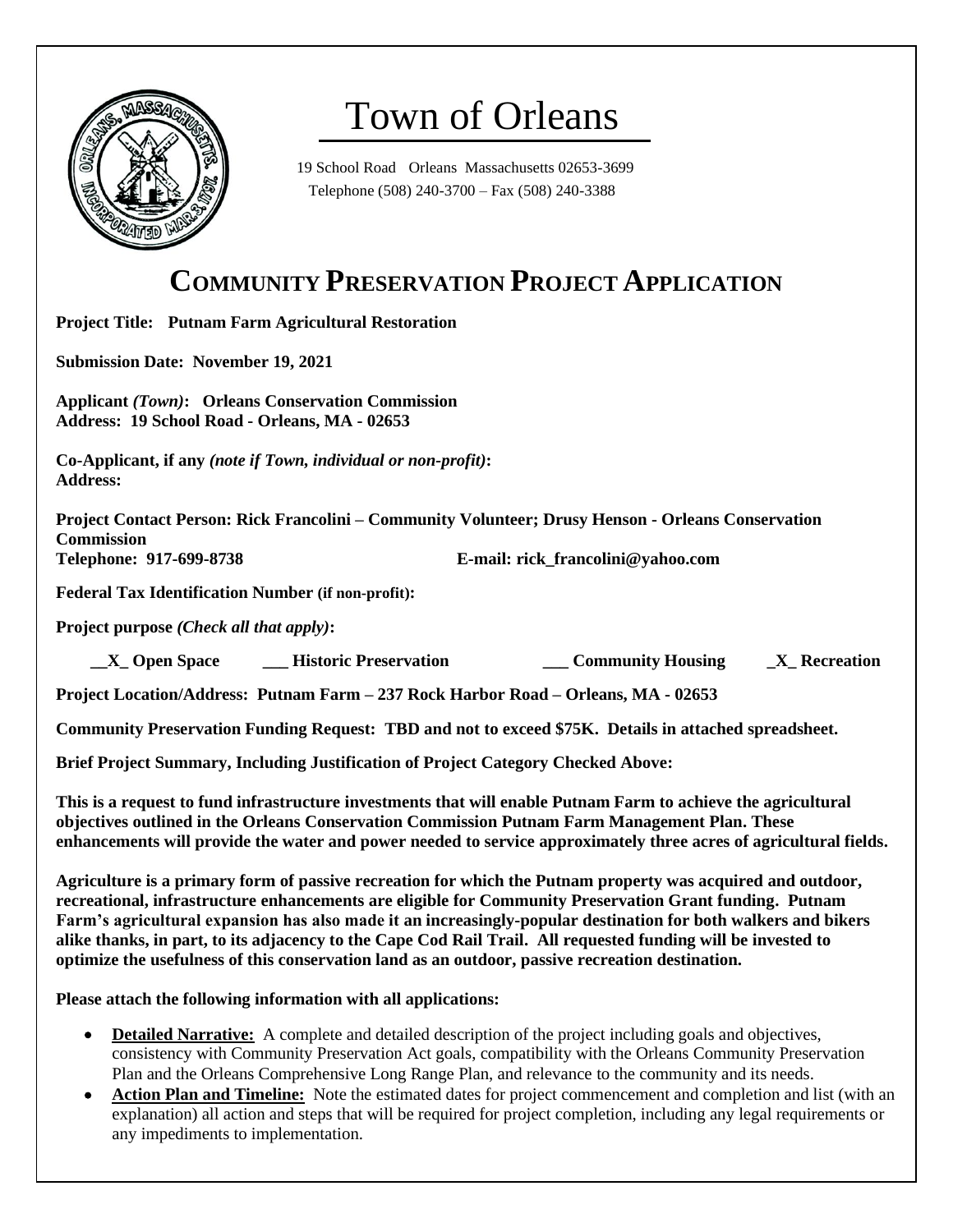

## Town of Orleans

19 School Road Orleans Massachusetts 02653-3699 Telephone (508) 240-3700 – Fax (508) 240-3388

### **COMMUNITY PRESERVATION PROJECT APPLICATION**

**Project Title: Putnam Farm Agricultural Restoration**

**Submission Date: November 19, 2021** 

**Applicant** *(Town)***: Orleans Conservation Commission Address: 19 School Road - Orleans, MA - 02653**

**Co-Applicant, if any** *(note if Town, individual or non-profit)***: Address:** 

**Project Contact Person: Rick Francolini – Community Volunteer; Drusy Henson - Orleans Conservation Commission Telephone: 917-699-8738 E-mail: rick\_francolini@yahoo.com**

**Federal Tax Identification Number (if non-profit):** 

**Project purpose** *(Check all that apply)***:**

 **TE Space THISTORY SERVISTEES EXAMPLE SPACE SERVISTEES ASSESSED ASSESSED AT A SPACE SPACE SPACE SPACE SPACE SPACE SPACE SPACE SPACE SPACE SPACE SPACE SPACE SPACE SPACE SPACE SPACE SPACE SPACE SPACE SPACE SPACE SPACE SPACE** 

**Project Location/Address: Putnam Farm – 237 Rock Harbor Road – Orleans, MA - 02653**

**Community Preservation Funding Request: TBD and not to exceed \$75K. Details in attached spreadsheet.**

**Brief Project Summary, Including Justification of Project Category Checked Above:** 

**This is a request to fund infrastructure investments that will enable Putnam Farm to achieve the agricultural objectives outlined in the Orleans Conservation Commission Putnam Farm Management Plan. These enhancements will provide the water and power needed to service approximately three acres of agricultural fields.**

**Agriculture is a primary form of passive recreation for which the Putnam property was acquired and outdoor, recreational, infrastructure enhancements are eligible for Community Preservation Grant funding. Putnam Farm's agricultural expansion has also made it an increasingly-popular destination for both walkers and bikers alike thanks, in part, to its adjacency to the Cape Cod Rail Trail. All requested funding will be invested to optimize the usefulness of this conservation land as an outdoor, passive recreation destination.**

**Please attach the following information with all applications:**

- **Detailed Narrative:** A complete and detailed description of the project including goals and objectives, consistency with Community Preservation Act goals, compatibility with the Orleans Community Preservation Plan and the Orleans Comprehensive Long Range Plan, and relevance to the community and its needs.
- **Action Plan and Timeline:** Note the estimated dates for project commencement and completion and list (with an explanation) all action and steps that will be required for project completion, including any legal requirements or any impediments to implementation.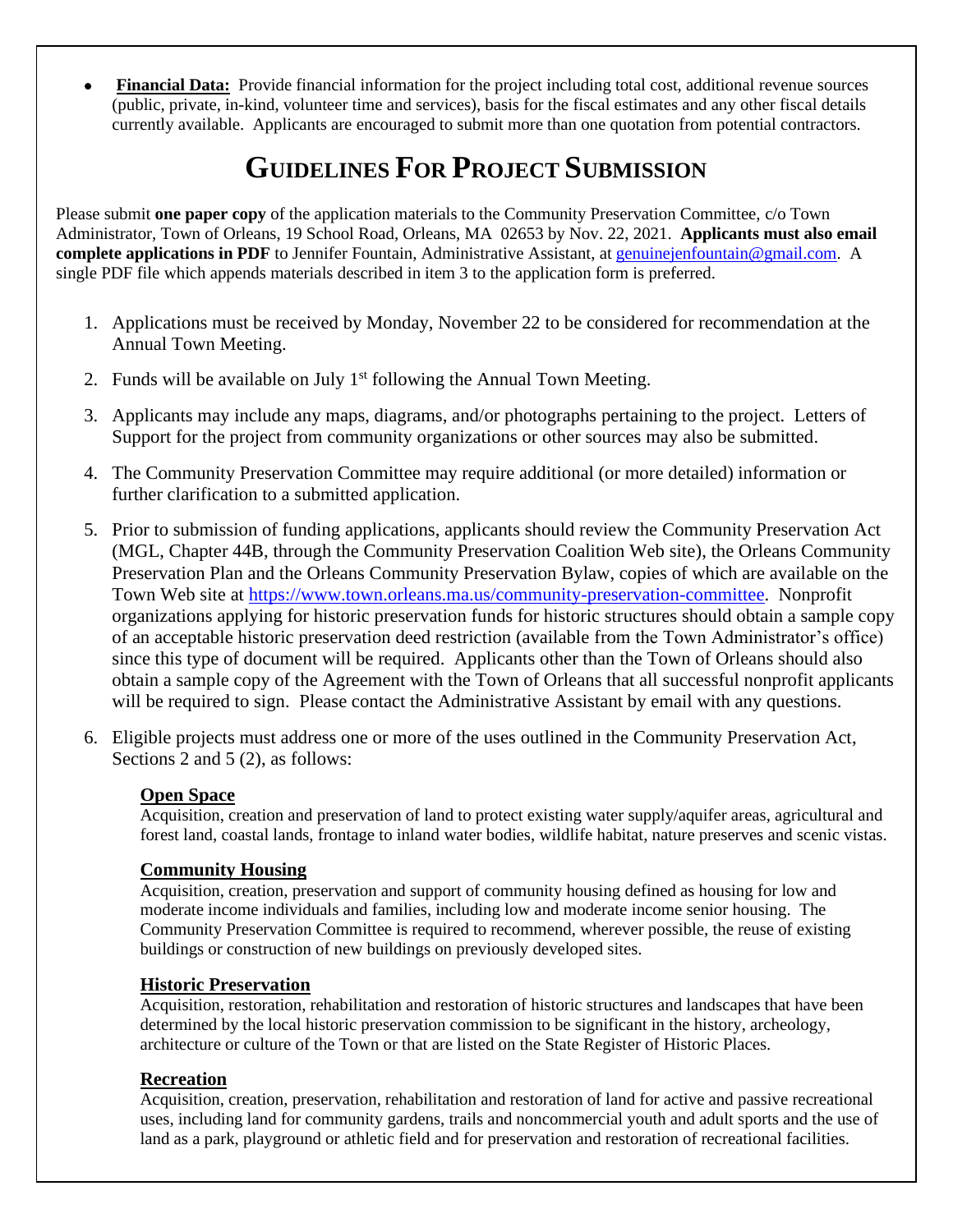• **Financial Data:** Provide financial information for the project including total cost, additional revenue sources (public, private, in-kind, volunteer time and services), basis for the fiscal estimates and any other fiscal details currently available. Applicants are encouraged to submit more than one quotation from potential contractors.

## **GUIDELINES FOR PROJECT SUBMISSION**

Please submit **one paper copy** of the application materials to the Community Preservation Committee, c/o Town Administrator, Town of Orleans, 19 School Road, Orleans, MA 02653 by Nov. 22, 2021. **Applicants must also email complete applications in PDF** to Jennifer Fountain, Administrative Assistant, at [genuinejenfountain@gmail.com.](mailto:genuinejenfountain@gmail.com) A single PDF file which appends materials described in item 3 to the application form is preferred.

- 1. Applications must be received by Monday, November 22 to be considered for recommendation at the Annual Town Meeting.
- 2. Funds will be available on July  $1<sup>st</sup>$  following the Annual Town Meeting.
- 3. Applicants may include any maps, diagrams, and/or photographs pertaining to the project. Letters of Support for the project from community organizations or other sources may also be submitted.
- 4. The Community Preservation Committee may require additional (or more detailed) information or further clarification to a submitted application.
- 5. Prior to submission of funding applications, applicants should review the Community Preservation Act (MGL, Chapter 44B, through the Community Preservation Coalition Web site), the Orleans Community Preservation Plan and the Orleans Community Preservation Bylaw, copies of which are available on the Town Web site at [https://www.town.orleans.ma.us/community-preservation-committee.](https://www.town.orleans.ma.us/community-preservation-committee) Nonprofit organizations applying for historic preservation funds for historic structures should obtain a sample copy of an acceptable historic preservation deed restriction (available from the Town Administrator's office) since this type of document will be required. Applicants other than the Town of Orleans should also obtain a sample copy of the Agreement with the Town of Orleans that all successful nonprofit applicants will be required to sign. Please contact the Administrative Assistant by email with any questions.
- 6. Eligible projects must address one or more of the uses outlined in the Community Preservation Act, Sections 2 and 5 (2), as follows:

#### **Open Space**

Acquisition, creation and preservation of land to protect existing water supply/aquifer areas, agricultural and forest land, coastal lands, frontage to inland water bodies, wildlife habitat, nature preserves and scenic vistas.

#### **Community Housing**

Acquisition, creation, preservation and support of community housing defined as housing for low and moderate income individuals and families, including low and moderate income senior housing. The Community Preservation Committee is required to recommend, wherever possible, the reuse of existing buildings or construction of new buildings on previously developed sites.

#### **Historic Preservation**

Acquisition, restoration, rehabilitation and restoration of historic structures and landscapes that have been determined by the local historic preservation commission to be significant in the history, archeology, architecture or culture of the Town or that are listed on the State Register of Historic Places.

#### **Recreation**

Acquisition, creation, preservation, rehabilitation and restoration of land for active and passive recreational uses, including land for community gardens, trails and noncommercial youth and adult sports and the use of land as a park, playground or athletic field and for preservation and restoration of recreational facilities.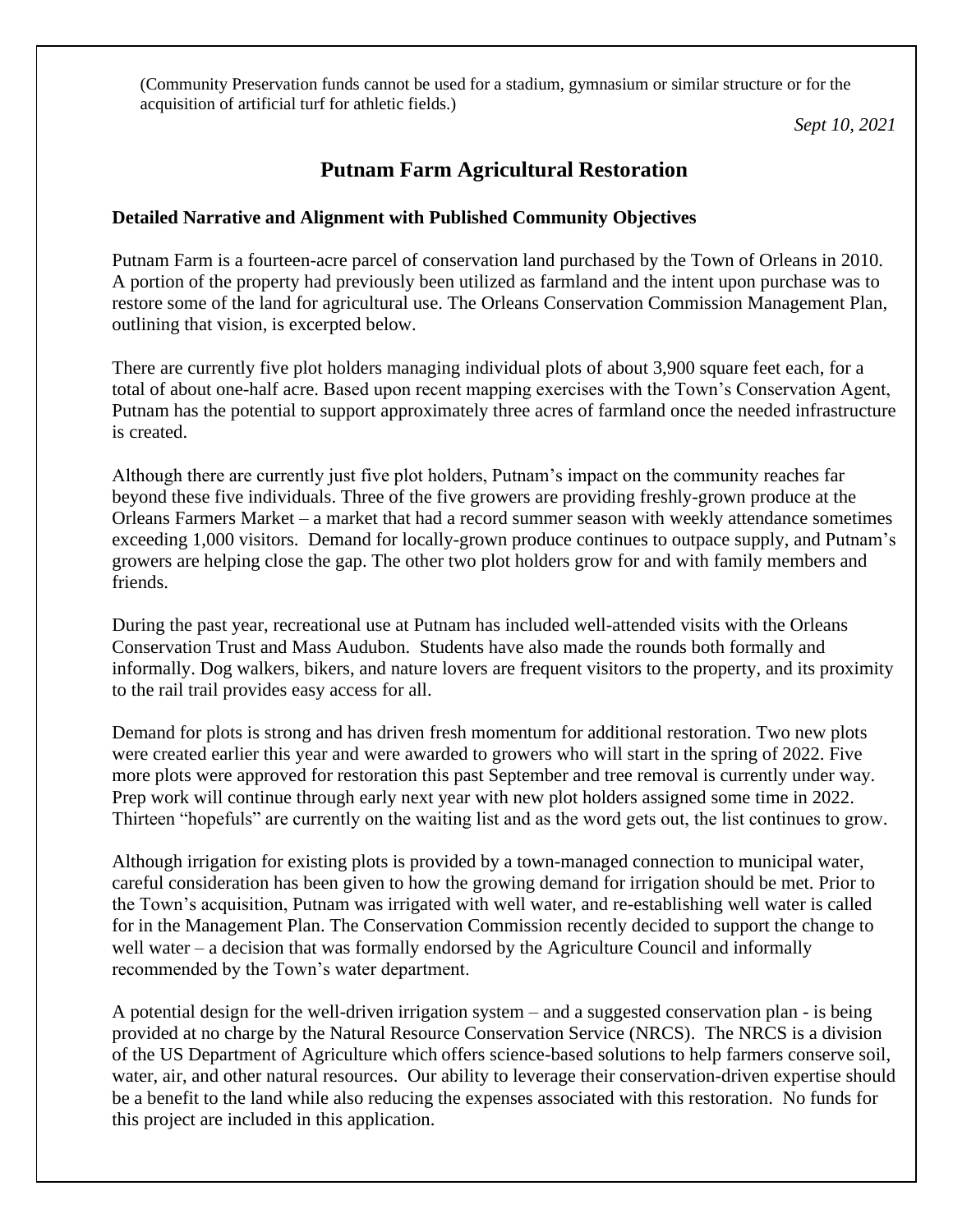(Community Preservation funds cannot be used for a stadium, gymnasium or similar structure or for the acquisition of artificial turf for athletic fields.)

*Sept 10, 2021*

#### **Putnam Farm Agricultural Restoration**

#### **Detailed Narrative and Alignment with Published Community Objectives**

Putnam Farm is a fourteen-acre parcel of conservation land purchased by the Town of Orleans in 2010. A portion of the property had previously been utilized as farmland and the intent upon purchase was to restore some of the land for agricultural use. The Orleans Conservation Commission Management Plan, outlining that vision, is excerpted below.

There are currently five plot holders managing individual plots of about 3,900 square feet each, for a total of about one-half acre. Based upon recent mapping exercises with the Town's Conservation Agent, Putnam has the potential to support approximately three acres of farmland once the needed infrastructure is created.

Although there are currently just five plot holders, Putnam's impact on the community reaches far beyond these five individuals. Three of the five growers are providing freshly-grown produce at the Orleans Farmers Market – a market that had a record summer season with weekly attendance sometimes exceeding 1,000 visitors. Demand for locally-grown produce continues to outpace supply, and Putnam's growers are helping close the gap. The other two plot holders grow for and with family members and friends.

During the past year, recreational use at Putnam has included well-attended visits with the Orleans Conservation Trust and Mass Audubon. Students have also made the rounds both formally and informally. Dog walkers, bikers, and nature lovers are frequent visitors to the property, and its proximity to the rail trail provides easy access for all.

Demand for plots is strong and has driven fresh momentum for additional restoration. Two new plots were created earlier this year and were awarded to growers who will start in the spring of 2022. Five more plots were approved for restoration this past September and tree removal is currently under way. Prep work will continue through early next year with new plot holders assigned some time in 2022. Thirteen "hopefuls" are currently on the waiting list and as the word gets out, the list continues to grow.

Although irrigation for existing plots is provided by a town-managed connection to municipal water, careful consideration has been given to how the growing demand for irrigation should be met. Prior to the Town's acquisition, Putnam was irrigated with well water, and re-establishing well water is called for in the Management Plan. The Conservation Commission recently decided to support the change to well water – a decision that was formally endorsed by the Agriculture Council and informally recommended by the Town's water department.

A potential design for the well-driven irrigation system – and a suggested conservation plan - is being provided at no charge by the Natural Resource Conservation Service (NRCS). The NRCS is a division of the US Department of Agriculture which offers science-based solutions to help farmers conserve soil, water, air, and other natural resources. Our ability to leverage their conservation-driven expertise should be a benefit to the land while also reducing the expenses associated with this restoration. No funds for this project are included in this application.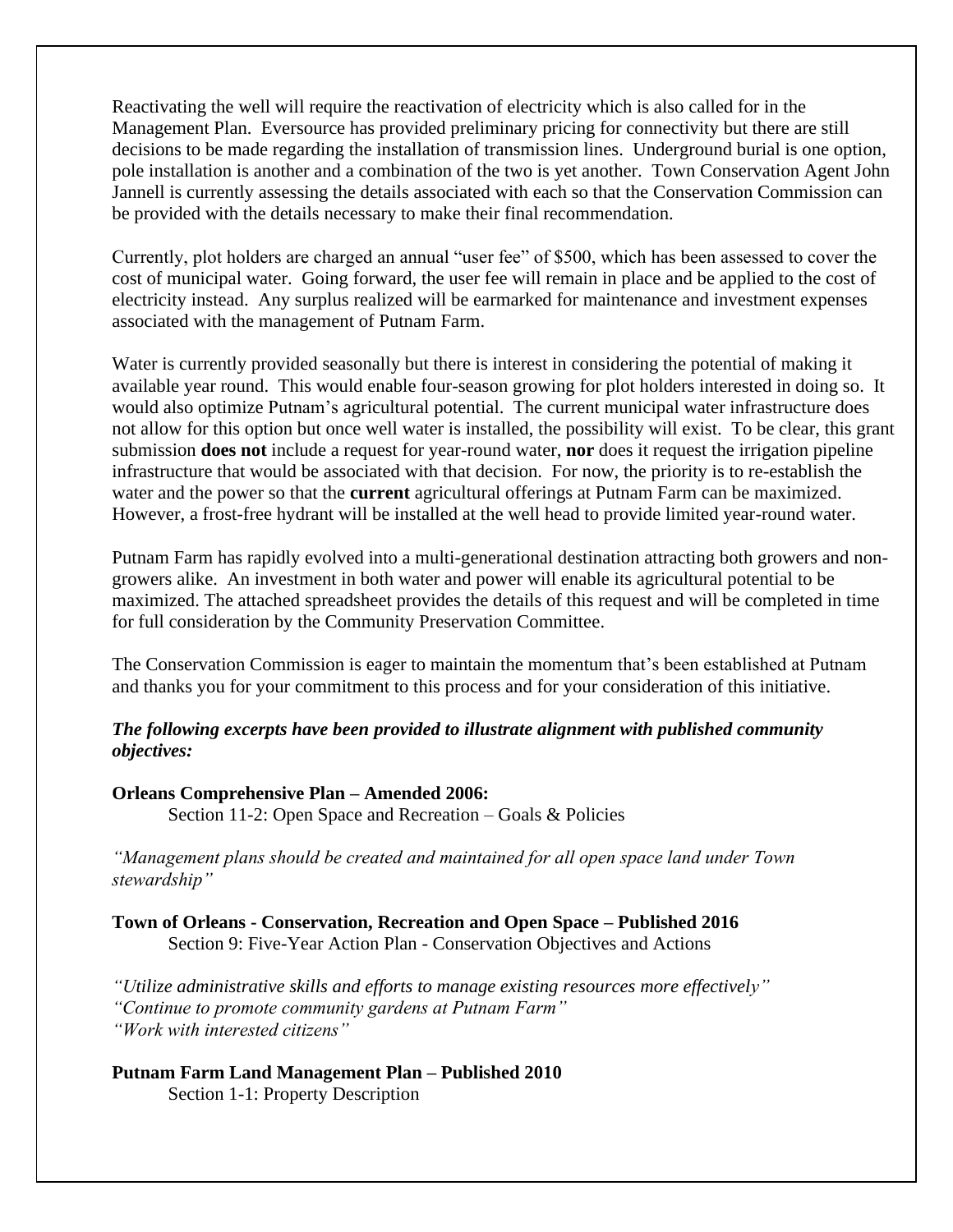Reactivating the well will require the reactivation of electricity which is also called for in the Management Plan. Eversource has provided preliminary pricing for connectivity but there are still decisions to be made regarding the installation of transmission lines. Underground burial is one option, pole installation is another and a combination of the two is yet another. Town Conservation Agent John Jannell is currently assessing the details associated with each so that the Conservation Commission can be provided with the details necessary to make their final recommendation.

Currently, plot holders are charged an annual "user fee" of \$500, which has been assessed to cover the cost of municipal water. Going forward, the user fee will remain in place and be applied to the cost of electricity instead. Any surplus realized will be earmarked for maintenance and investment expenses associated with the management of Putnam Farm.

Water is currently provided seasonally but there is interest in considering the potential of making it available year round. This would enable four-season growing for plot holders interested in doing so. It would also optimize Putnam's agricultural potential. The current municipal water infrastructure does not allow for this option but once well water is installed, the possibility will exist. To be clear, this grant submission **does not** include a request for year-round water, **nor** does it request the irrigation pipeline infrastructure that would be associated with that decision. For now, the priority is to re-establish the water and the power so that the **current** agricultural offerings at Putnam Farm can be maximized. However, a frost-free hydrant will be installed at the well head to provide limited year-round water.

Putnam Farm has rapidly evolved into a multi-generational destination attracting both growers and nongrowers alike. An investment in both water and power will enable its agricultural potential to be maximized. The attached spreadsheet provides the details of this request and will be completed in time for full consideration by the Community Preservation Committee.

The Conservation Commission is eager to maintain the momentum that's been established at Putnam and thanks you for your commitment to this process and for your consideration of this initiative.

#### *The following excerpts have been provided to illustrate alignment with published community objectives:*

#### **Orleans Comprehensive Plan – Amended 2006:**

Section 11-2: Open Space and Recreation – Goals & Policies

*"Management plans should be created and maintained for all open space land under Town stewardship"*

**Town of Orleans - Conservation, Recreation and Open Space – Published 2016** Section 9: Five-Year Action Plan - Conservation Objectives and Actions

*"Utilize administrative skills and efforts to manage existing resources more effectively" "Continue to promote community gardens at Putnam Farm" "Work with interested citizens"*

#### **Putnam Farm Land Management Plan – Published 2010** Section 1-1: Property Description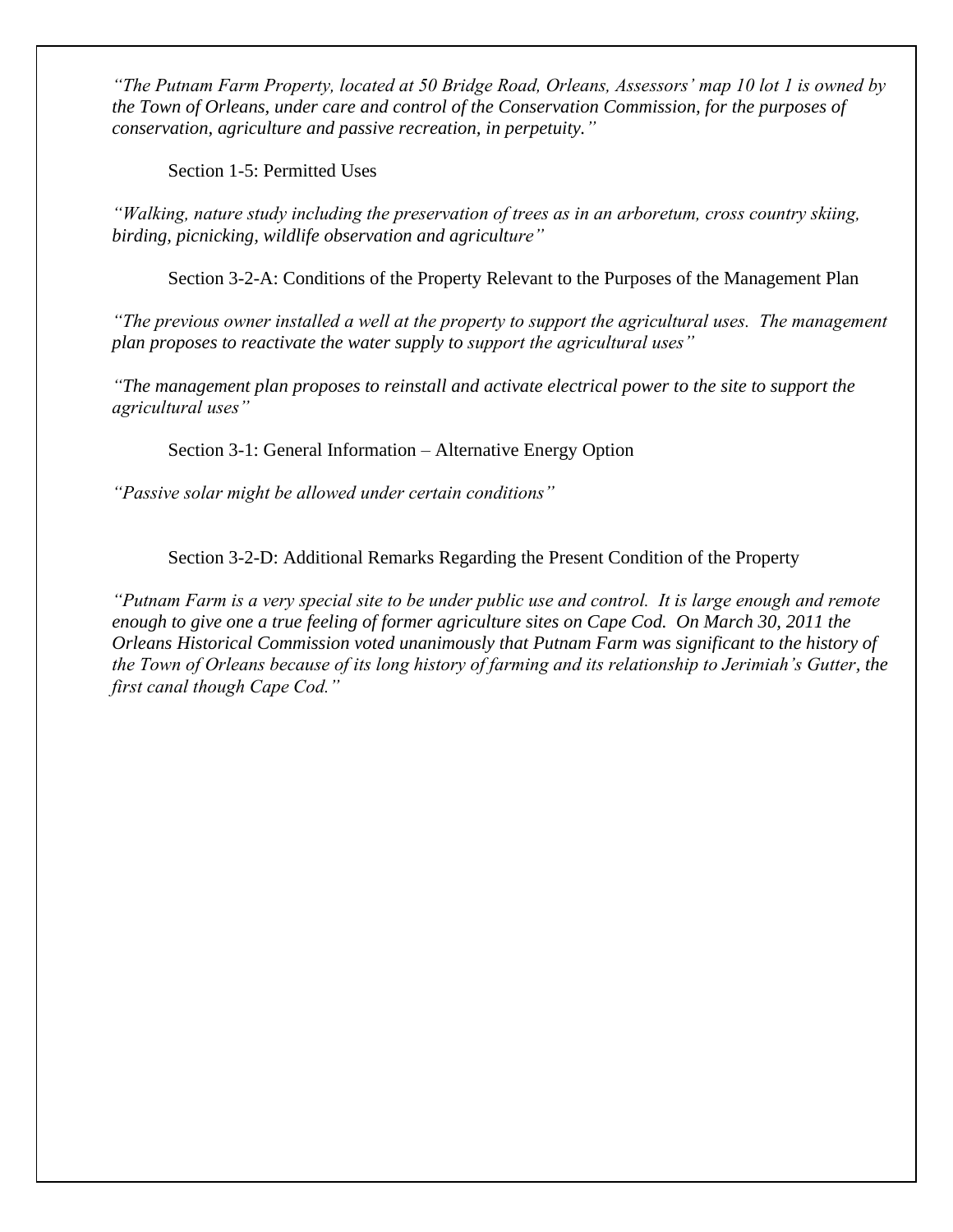*"The Putnam Farm Property, located at 50 Bridge Road, Orleans, Assessors' map 10 lot 1 is owned by the Town of Orleans, under care and control of the Conservation Commission, for the purposes of conservation, agriculture and passive recreation, in perpetuity."* 

Section 1-5: Permitted Uses

*"Walking, nature study including the preservation of trees as in an arboretum, cross country skiing, birding, picnicking, wildlife observation and agriculture"*

Section 3-2-A: Conditions of the Property Relevant to the Purposes of the Management Plan

*"The previous owner installed a well at the property to support the agricultural uses. The management plan proposes to reactivate the water supply to support the agricultural uses"*

*"The management plan proposes to reinstall and activate electrical power to the site to support the agricultural uses"*

Section 3-1: General Information – Alternative Energy Option

*"Passive solar might be allowed under certain conditions"*

Section 3-2-D: Additional Remarks Regarding the Present Condition of the Property

*"Putnam Farm is a very special site to be under public use and control. It is large enough and remote enough to give one a true feeling of former agriculture sites on Cape Cod. On March 30, 2011 the Orleans Historical Commission voted unanimously that Putnam Farm was significant to the history of the Town of Orleans because of its long history of farming and its relationship to Jerimiah's Gutter, the first canal though Cape Cod."*